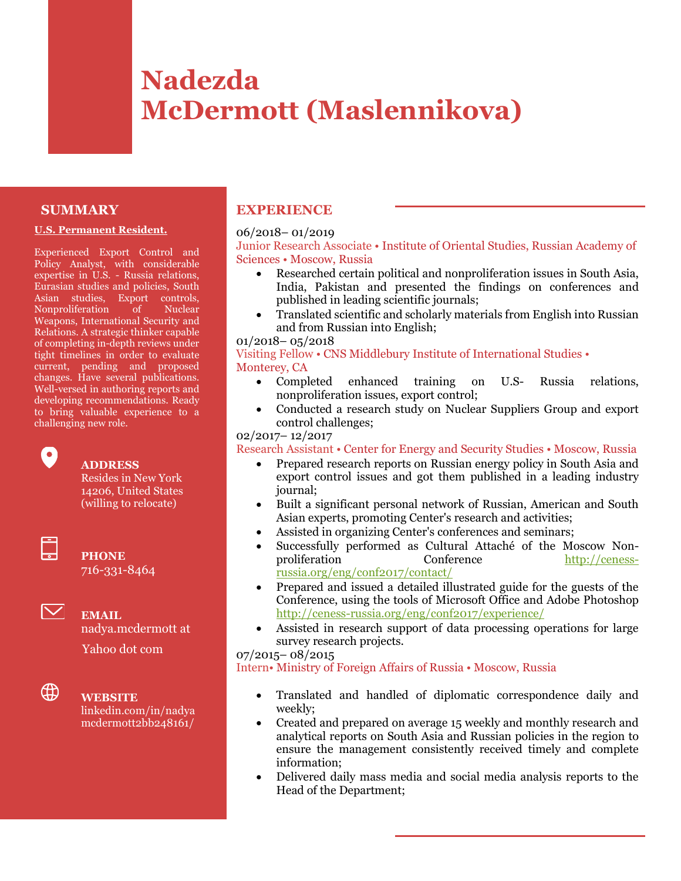# **Nadezda McDermott (Maslennikova)**

# **SUMMARY**

#### **U.S. Permanent Resident.**

Experienced Export Control and Policy Analyst, with considerable expertise in U.S. - Russia relations, Eurasian studies and policies, South Asian studies, Export controls, Nonproliferation of Nuclear Weapons, International Security and Relations. A strategic thinker capable of completing in-depth reviews under tight timelines in order to evaluate current, pending and proposed changes. Have several publications. Well-versed in authoring reports and developing recommendations. Ready to bring valuable experience to a challenging new role.

# **ADDRESS**

Resides in New York 14206, United States (willing to relocate)



 $\boldsymbol{\nabla}$ 

 $\bullet$ 

**PHONE** 716-331-8464

**EMAIL** nadya.mcdermott at

Yahoo dot com



**WEBSITE** linkedin.com/in/nadya

# mcdermott2bb248161/

# **EXPERIENCE**

#### 06/2018– 01/2019

### Junior Research Associate • Institute of Oriental Studies, Russian Academy of Sciences • Moscow, Russia

- Researched certain political and nonproliferation issues in South Asia, India, Pakistan and presented the findings on conferences and published in leading scientific journals;
- Translated scientific and scholarly materials from English into Russian and from Russian into English;

#### 01/2018– 05/2018

Visiting Fellow • CNS Middlebury Institute of International Studies • Monterey, CA

- Completed enhanced training on U.S- Russia relations, nonproliferation issues, export control;
- Conducted a research study on Nuclear Suppliers Group and export control challenges;

# 02/2017– 12/2017

Research Assistant • Center for Energy and Security Studies • Moscow, Russia

- Prepared research reports on Russian energy policy in South Asia and export control issues and got them published in a leading industry journal;
- Built a significant personal network of Russian, American and South Asian experts, promoting Center's research and activities;
- Assisted in organizing Center's conferences and seminars;
- Successfully performed as Cultural Attaché of the Moscow Nonproliferation Conference [http://ceness](http://ceness-russia.org/eng/conf2017/contact/)[russia.org/eng/conf2017/contact/](http://ceness-russia.org/eng/conf2017/contact/)
- Prepared and issued a detailed illustrated guide for the guests of the Conference, using the tools of Microsoft Office and Adobe Photoshop <http://ceness-russia.org/eng/conf2017/experience/>
- Assisted in research support of data processing operations for large survey research projects.

07/2015– 08/2015

Intern• Ministry of Foreign Affairs of Russia • Moscow, Russia

- Translated and handled of diplomatic correspondence daily and weekly;
- Created and prepared on average 15 weekly and monthly research and analytical reports on South Asia and Russian policies in the region to ensure the management consistently received timely and complete information;
- Delivered daily mass media and social media analysis reports to the Head of the Department;